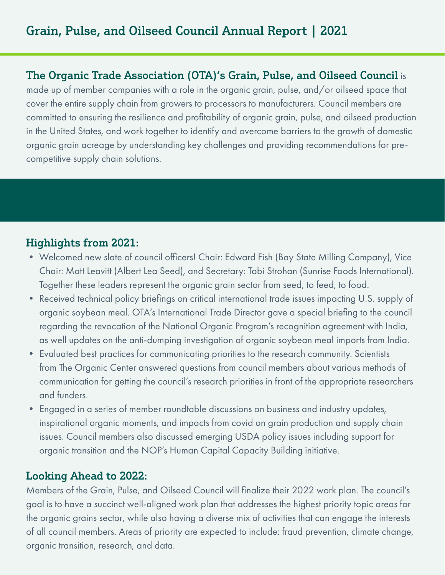## The Organic Trade Association (OTA)'s Grain, Pulse, and Oilseed Council is

made up of member companies with a role in the organic grain, pulse, and/or oilseed space that cover the entire supply chain from growers to processors to manufacturers. Council members are committed to ensuring the resilience and profitability of organic grain, pulse, and oilseed production in the United States, and work together to identify and overcome barriers to the growth of domestic organic grain acreage by understanding key challenges and providing recommendations for precompetitive supply chain solutions.

# Highlights from 2021:

- Welcomed new slate of council officers! Chair: Edward Fish (Bay State Milling Company), Vice Chair: Matt Leavitt (Albert Lea Seed), and Secretary: Tobi Strohan (Sunrise Foods International). Together these leaders represent the organic grain sector from seed, to feed, to food.
- Received technical policy briefings on critical international trade issues impacting U.S. supply of organic soybean meal. OTA's International Trade Director gave a special briefing to the council regarding the revocation of the National Organic Program's recognition agreement with India, as well updates on the anti-dumping investigation of organic soybean meal imports from India.
- Evaluated best practices for communicating priorities to the research community. Scientists from The Organic Center answered questions from council members about various methods of communication for getting the council's research priorities in front of the appropriate researchers and funders.
- Engaged in a series of member roundtable discussions on business and industry updates, inspirational organic moments, and impacts from covid on grain production and supply chain issues. Council members also discussed emerging USDA policy issues including support for organic transition and the NOP's Human Capital Capacity Building initiative.

### Looking Ahead to 2022:

Members of the Grain, Pulse, and Oilseed Council will finalize their 2022 work plan. The council's goal is to have a succinct well-aligned work plan that addresses the highest priority topic areas for the organic grains sector, while also having a diverse mix of activities that can engage the interests of all council members. Areas of priority are expected to include: fraud prevention, climate change, organic transition, research, and data.